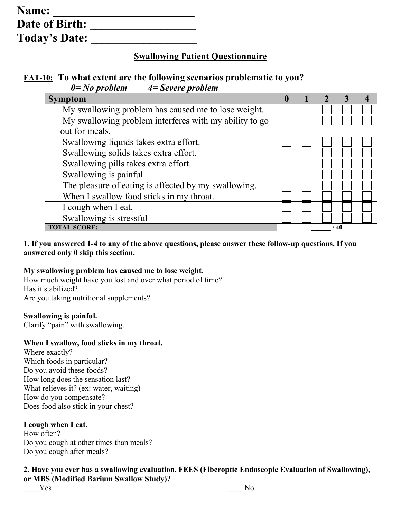| Name:                 |  |
|-----------------------|--|
| <b>Date of Birth:</b> |  |
| <b>Today's Date:</b>  |  |

# **Swallowing Patient Questionnaire**

# **EAT-10: To what extent are the following scenarios problematic to you?** *0= No problem 4= Severe problem*

| <b>Symptom</b>                                         | $\bf{0}$ |  |  |
|--------------------------------------------------------|----------|--|--|
| My swallowing problem has caused me to lose weight.    |          |  |  |
| My swallowing problem interferes with my ability to go |          |  |  |
| out for meals.                                         |          |  |  |
| Swallowing liquids takes extra effort.                 |          |  |  |
| Swallowing solids takes extra effort.                  |          |  |  |
| Swallowing pills takes extra effort.                   |          |  |  |
| Swallowing is painful                                  |          |  |  |
| The pleasure of eating is affected by my swallowing.   |          |  |  |
| When I swallow food sticks in my throat.               |          |  |  |
| I cough when I eat.                                    |          |  |  |
| Swallowing is stressful                                |          |  |  |
| <b>TOTAL SCORE:</b><br>40                              |          |  |  |

## **1. If you answered 1-4 to any of the above questions, please answer these follow-up questions. If you answered only 0 skip this section.**

## **My swallowing problem has caused me to lose weight.**

How much weight have you lost and over what period of time? Has it stabilized? Are you taking nutritional supplements?

#### **Swallowing is painful.**

Clarify "pain" with swallowing.

#### **When I swallow, food sticks in my throat.**

Where exactly? Which foods in particular? Do you avoid these foods? How long does the sensation last? What relieves it? (ex: water, waiting) How do you compensate? Does food also stick in your chest?

## **I cough when I eat.**

How often? Do you cough at other times than meals? Do you cough after meals?

#### **2. Have you ever has a swallowing evaluation, FEES (Fiberoptic Endoscopic Evaluation of Swallowing), or MBS (Modified Barium Swallow Study)?**

\_\_\_\_Yes \_\_\_\_ No